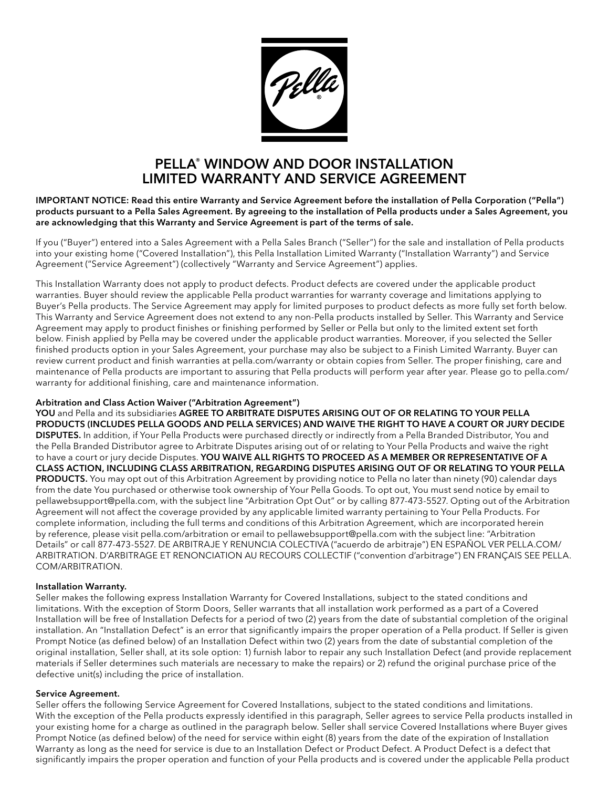

# PELLA® WINDOW AND DOOR INSTALLATION LIMITED WARRANTY AND SERVICE AGREEMENT

#### IMPORTANT NOTICE: Read this entire Warranty and Service Agreement before the installation of Pella Corporation ("Pella") products pursuant to a Pella Sales Agreement. By agreeing to the installation of Pella products under a Sales Agreement, you are acknowledging that this Warranty and Service Agreement is part of the terms of sale.

If you ("Buyer") entered into a Sales Agreement with a Pella Sales Branch ("Seller") for the sale and installation of Pella products into your existing home ("Covered Installation"), this Pella Installation Limited Warranty ("Installation Warranty") and Service Agreement ("Service Agreement") (collectively "Warranty and Service Agreement") applies.

This Installation Warranty does not apply to product defects. Product defects are covered under the applicable product warranties. Buyer should review the applicable Pella product warranties for warranty coverage and limitations applying to Buyer's Pella products. The Service Agreement may apply for limited purposes to product defects as more fully set forth below. This Warranty and Service Agreement does not extend to any non-Pella products installed by Seller. This Warranty and Service Agreement may apply to product finishes or finishing performed by Seller or Pella but only to the limited extent set forth below. Finish applied by Pella may be covered under the applicable product warranties. Moreover, if you selected the Seller finished products option in your Sales Agreement, your purchase may also be subject to a Finish Limited Warranty. Buyer can review current product and finish warranties at pella.com/warranty or obtain copies from Seller. The proper finishing, care and maintenance of Pella products are important to assuring that Pella products will perform year after year. Please go to pella.com/ warranty for additional finishing, care and maintenance information.

# Arbitration and Class Action Waiver ("Arbitration Agreement")

YOU and Pella and its subsidiaries AGREE TO ARBITRATE DISPUTES ARISING OUT OF OR RELATING TO YOUR PELLA PRODUCTS (INCLUDES PELLA GOODS AND PELLA SERVICES) AND WAIVE THE RIGHT TO HAVE A COURT OR JURY DECIDE DISPUTES. In addition, if Your Pella Products were purchased directly or indirectly from a Pella Branded Distributor, You and the Pella Branded Distributor agree to Arbitrate Disputes arising out of or relating to Your Pella Products and waive the right to have a court or jury decide Disputes. YOU WAIVE ALL RIGHTS TO PROCEED AS A MEMBER OR REPRESENTATIVE OF A CLASS ACTION, INCLUDING CLASS ARBITRATION, REGARDING DISPUTES ARISING OUT OF OR RELATING TO YOUR PELLA PRODUCTS. You may opt out of this Arbitration Agreement by providing notice to Pella no later than ninety (90) calendar days from the date You purchased or otherwise took ownership of Your Pella Goods. To opt out, You must send notice by email to pellawebsupport@pella.com, with the subject line "Arbitration Opt Out" or by calling 877-473-5527. Opting out of the Arbitration Agreement will not affect the coverage provided by any applicable limited warranty pertaining to Your Pella Products. For complete information, including the full terms and conditions of this Arbitration Agreement, which are incorporated herein by reference, please visit pella.com/arbitration or email to pellawebsupport@pella.com with the subject line: "Arbitration Details" or call 877-473-5527. DE ARBITRAJE Y RENUNCIA COLECTIVA ("acuerdo de arbitraje") EN ESPAÑOL VER PELLA.COM/ ARBITRATION. D'ARBITRAGE ET RENONCIATION AU RECOURS COLLECTIF ("convention d'arbitrage") EN FRANÇAIS SEE PELLA. COM/ARBITRATION.

# Installation Warranty.

Seller makes the following express Installation Warranty for Covered Installations, subject to the stated conditions and limitations. With the exception of Storm Doors, Seller warrants that all installation work performed as a part of a Covered Installation will be free of Installation Defects for a period of two (2) years from the date of substantial completion of the original installation. An "Installation Defect" is an error that significantly impairs the proper operation of a Pella product. If Seller is given Prompt Notice (as defined below) of an Installation Defect within two (2) years from the date of substantial completion of the original installation, Seller shall, at its sole option: 1) furnish labor to repair any such Installation Defect (and provide replacement materials if Seller determines such materials are necessary to make the repairs) or 2) refund the original purchase price of the defective unit(s) including the price of installation.

# Service Agreement.

Seller offers the following Service Agreement for Covered Installations, subject to the stated conditions and limitations. With the exception of the Pella products expressly identified in this paragraph, Seller agrees to service Pella products installed in your existing home for a charge as outlined in the paragraph below. Seller shall service Covered Installations where Buyer gives Prompt Notice (as defined below) of the need for service within eight (8) years from the date of the expiration of Installation Warranty as long as the need for service is due to an Installation Defect or Product Defect. A Product Defect is a defect that significantly impairs the proper operation and function of your Pella products and is covered under the applicable Pella product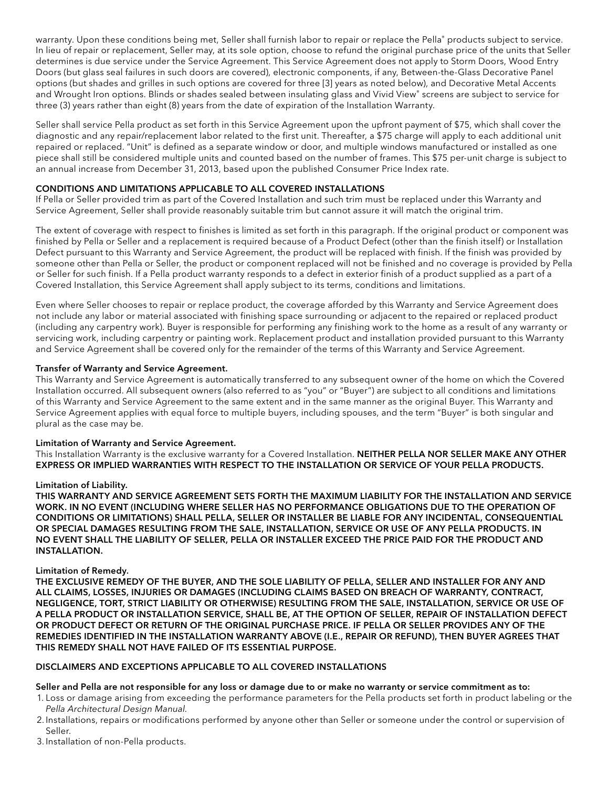warranty. Upon these conditions being met, Seller shall furnish labor to repair or replace the Pella® products subject to service. In lieu of repair or replacement, Seller may, at its sole option, choose to refund the original purchase price of the units that Seller determines is due service under the Service Agreement. This Service Agreement does not apply to Storm Doors, Wood Entry Doors (but glass seal failures in such doors are covered), electronic components, if any, Between-the-Glass Decorative Panel options (but shades and grilles in such options are covered for three [3] years as noted below), and Decorative Metal Accents and Wrought Iron options. Blinds or shades sealed between insulating glass and Vivid View® screens are subject to service for three (3) years rather than eight (8) years from the date of expiration of the Installation Warranty.

Seller shall service Pella product as set forth in this Service Agreement upon the upfront payment of \$75, which shall cover the diagnostic and any repair/replacement labor related to the first unit. Thereafter, a \$75 charge will apply to each additional unit repaired or replaced. "Unit" is defined as a separate window or door, and multiple windows manufactured or installed as one piece shall still be considered multiple units and counted based on the number of frames. This \$75 per-unit charge is subject to an annual increase from December 31, 2013, based upon the published Consumer Price Index rate.

# CONDITIONS AND LIMITATIONS APPLICABLE TO ALL COVERED INSTALLATIONS

If Pella or Seller provided trim as part of the Covered Installation and such trim must be replaced under this Warranty and Service Agreement, Seller shall provide reasonably suitable trim but cannot assure it will match the original trim.

The extent of coverage with respect to finishes is limited as set forth in this paragraph. If the original product or component was finished by Pella or Seller and a replacement is required because of a Product Defect (other than the finish itself) or Installation Defect pursuant to this Warranty and Service Agreement, the product will be replaced with finish. If the finish was provided by someone other than Pella or Seller, the product or component replaced will not be finished and no coverage is provided by Pella or Seller for such finish. If a Pella product warranty responds to a defect in exterior finish of a product supplied as a part of a Covered Installation, this Service Agreement shall apply subject to its terms, conditions and limitations.

Even where Seller chooses to repair or replace product, the coverage afforded by this Warranty and Service Agreement does not include any labor or material associated with finishing space surrounding or adjacent to the repaired or replaced product (including any carpentry work). Buyer is responsible for performing any finishing work to the home as a result of any warranty or servicing work, including carpentry or painting work. Replacement product and installation provided pursuant to this Warranty and Service Agreement shall be covered only for the remainder of the terms of this Warranty and Service Agreement.

# Transfer of Warranty and Service Agreement.

This Warranty and Service Agreement is automatically transferred to any subsequent owner of the home on which the Covered Installation occurred. All subsequent owners (also referred to as "you" or "Buyer") are subject to all conditions and limitations of this Warranty and Service Agreement to the same extent and in the same manner as the original Buyer. This Warranty and Service Agreement applies with equal force to multiple buyers, including spouses, and the term "Buyer" is both singular and plural as the case may be.

# Limitation of Warranty and Service Agreement.

This Installation Warranty is the exclusive warranty for a Covered Installation. NEITHER PELLA NOR SELLER MAKE ANY OTHER EXPRESS OR IMPLIED WARRANTIES WITH RESPECT TO THE INSTALLATION OR SERVICE OF YOUR PELLA PRODUCTS.

# Limitation of Liability.

THIS WARRANTY AND SERVICE AGREEMENT SETS FORTH THE MAXIMUM LIABILITY FOR THE INSTALLATION AND SERVICE WORK. IN NO EVENT (INCLUDING WHERE SELLER HAS NO PERFORMANCE OBLIGATIONS DUE TO THE OPERATION OF CONDITIONS OR LIMITATIONS) SHALL PELLA, SELLER OR INSTALLER BE LIABLE FOR ANY INCIDENTAL, CONSEQUENTIAL OR SPECIAL DAMAGES RESULTING FROM THE SALE, INSTALLATION, SERVICE OR USE OF ANY PELLA PRODUCTS. IN NO EVENT SHALL THE LIABILITY OF SELLER, PELLA OR INSTALLER EXCEED THE PRICE PAID FOR THE PRODUCT AND INSTALLATION.

# Limitation of Remedy.

THE EXCLUSIVE REMEDY OF THE BUYER, AND THE SOLE LIABILITY OF PELLA, SELLER AND INSTALLER FOR ANY AND ALL CLAIMS, LOSSES, INJURIES OR DAMAGES (INCLUDING CLAIMS BASED ON BREACH OF WARRANTY, CONTRACT, NEGLIGENCE, TORT, STRICT LIABILITY OR OTHERWISE) RESULTING FROM THE SALE, INSTALLATION, SERVICE OR USE OF A PELLA PRODUCT OR INSTALLATION SERVICE, SHALL BE, AT THE OPTION OF SELLER, REPAIR OF INSTALLATION DEFECT OR PRODUCT DEFECT OR RETURN OF THE ORIGINAL PURCHASE PRICE. IF PELLA OR SELLER PROVIDES ANY OF THE REMEDIES IDENTIFIED IN THE INSTALLATION WARRANTY ABOVE (I.E., REPAIR OR REFUND), THEN BUYER AGREES THAT THIS REMEDY SHALL NOT HAVE FAILED OF ITS ESSENTIAL PURPOSE.

# DISCLAIMERS AND EXCEPTIONS APPLICABLE TO ALL COVERED INSTALLATIONS

#### Seller and Pella are not responsible for any loss or damage due to or make no warranty or service commitment as to:

- 1. Loss or damage arising from exceeding the performance parameters for the Pella products set forth in product labeling or the *Pella Architectural Design Manual.*
- 2. Installations, repairs or modifications performed by anyone other than Seller or someone under the control or supervision of Seller.
- 3. Installation of non-Pella products.